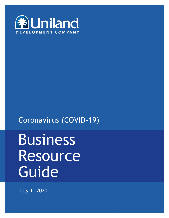

# Coronavirus (COVID-19)

0

# Business Resource **Guide**

July 1, 2020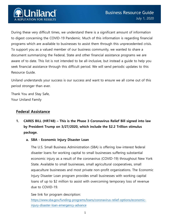

During these very difficult times, we understand there is a significant amount of information to digest concerning the COVID-19 Pandemic. Much of this information is regarding financial programs which are available to businesses to assist them through this unprecedented crisis. To support you as a valued member of our business community, we wanted to share a document summarizing the Federal, State and other financial assistance programs we are aware of to date. This list is not intended to be all-inclusive, but instead a guide to help you seek financial assistance through this difficult period. We will send periodic updates to this Resource Guide.

Uniland understands your success is our success and want to ensure we all come out of this period stronger than ever.

Thank You and Stay Safe, Your Uniland Family

# **Federal Assistance**

- **1. CARES BILL (HR748) – This is the Phase 3 Coronavirus Relief Bill signed into law by President Trump on 3/27/2020, which include the \$2.2 Trillion stimulus package.**
	- **a. SBA - Economic Injury Disaster Loan**

The U.S. Small Business Administration (SBA) is offering low-interest federal disaster loans for working capital to small businesses suffering substantial economic injury as a result of the coronavirus (COVID-19) throughout New York State. Available to small businesses, small agricultural cooperatives, small aquaculture businesses and most private non-profit organizations. The Economic Injury Disaster Loan program provides small businesses with working capital loans of up to \$2 million to assist with overcoming temporary loss of revenue due to COVID-19.

See link for program description:

[https://www.sba.gov/funding-programs/loans/coronavirus-relief-options/economic](https://www.sba.gov/funding-programs/loans/coronavirus-relief-options/economic-injury-disaster-loan-emergency-advance)[injury-disaster-loan-emergency-advance](https://www.sba.gov/funding-programs/loans/coronavirus-relief-options/economic-injury-disaster-loan-emergency-advance)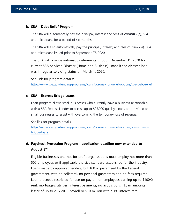#### **b. SBA - Debt Relief Program**

The SBA will automatically pay the principal, interest and fees of **current** 7(a), 504 and microloans for a period of six months.

The SBA will also automatically pay the principal, interest, and fees of **new** 7(a), 504 and microloans issued prior to September 27, 2020.

The SBA will provide automatic deferments through December 31, 2020 for current SBA Serviced Disaster (Home and Business) Loans if the disaster loan was in regular servicing status on March 1, 2020.

See link for program details:

<https://www.sba.gov/funding-programs/loans/coronavirus-relief-options/sba-debt-relief>

#### **c. SBA - Express Bridge Loans**

Loan program allows small businesses who currently have a business relationship with a SBA Express Lender to access up to \$25,000 quickly. Loans are provided to small businesses to assist with overcoming the temporary loss of revenue.

See link for program details:

[https://www.sba.gov/funding-programs/loans/coronavirus-relief-options/sba-express](https://www.sba.gov/funding-programs/loans/coronavirus-relief-options/sba-express-bridge-loans)[bridge-loans](https://www.sba.gov/funding-programs/loans/coronavirus-relief-options/sba-express-bridge-loans)

# **d. Paycheck Protection Program – application deadline now extended to August 8th**

Eligible businesses and not for profit organizations must employ not more than 500 employees or if applicable the size standard established for the industry. Loans made by approved lenders, but 100% guaranteed by the Federal government, with no collateral, no personal guarantees and no fees required. Loan proceeds restricted for use on payroll (on employees earning up to \$100K), rent, mortgages, utilities, interest payments, no acquisitions. Loan amounts lesser of up to 2.5x 2019 payroll or \$10 million with a 1% interest rate.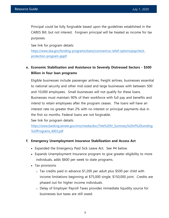Principal could be fully forgivable based upon the guidelines established in the CARES Bill, but not interest. Forgiven principal will be treated as income for tax purposes.

See link for program details:

[https://www.sba.gov/funding-programs/loans/coronavirus-relief-options/paycheck](https://www.sba.gov/funding-programs/loans/coronavirus-relief-options/paycheck-protection-program-ppp)[protection-program-ppp#](https://www.sba.gov/funding-programs/loans/coronavirus-relief-options/paycheck-protection-program-ppp)

# **e. Economic Stabilization and Assistance to Severely Distressed Sectors - \$500 Billion in four loan programs**

Eligible businesses include passenger airlines, freight airlines, businesses essential to national security and other mid-sized and large businesses with between 500 and 10,000 employees. Small businesses will not qualify for these loans. Businesses must maintain 90% of their workforce with full pay and benefits and intend to retain employees after the program ceases. The loans will have an interest rate no greater than 2% with no interest or principal payments due in the first six months. Federal loans are not forgivable.

See link for program details:

[https://www.banking.senate.gov/imo/media/doc/Title%20IV\\_Summary%20of%20Lending](https://www.banking.senate.gov/imo/media/doc/Title%20IV_Summary%20of%20Lending%20Programs_4003.pdf) [%20Programs\\_4003.pdf](https://www.banking.senate.gov/imo/media/doc/Title%20IV_Summary%20of%20Lending%20Programs_4003.pdf)

#### **f. Emergency Unemployment Insurance Stabilization and Access Act**

- Expanded the Emergency Paid Sick Leave Act. See #4 below.
- Expands Unemployment Insurance program to give greater eligibility to more individuals, adds \$600 per week to state programs.
- Tax provisions
	- o Tax credits paid in advance \$1,200 per adult plus \$500 per child with income limitations beginning at \$75,000 single; \$150,000 joint. Credits are phased out for higher income individuals.
	- o Delay of Employer Payroll Taxes provides immediate liquidity source for businesses but taxes are still owed.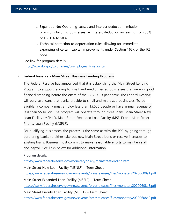- o Expanded Net Operating Losses and interest deduction limitation provisions favoring businesses i.e. interest deduction increasing from 30% of EBIDTA to 50%.
- o Technical correction to depreciation rules allowing for immediate expensing of certain capital improvements under Section 168K of the IRS code.

See link for program details:

<https://www.dol.gov/coronavirus/unemployment-insurance>

#### **2. Federal Reserve - Main Street Business Lending Program**

The Federal Reserve has announced that it is establishing the Main Street Lending Program to support lending to small and medium-sized businesses that were in good financial standing before the onset of the COVID-19 pandemic. The Federal Reserve will purchase loans that banks provide to small and mid-sized businesses. To be eligible, a company must employ less than 15,000 people or have annual revenue of less than \$5 billion. The program will operate through three loans: Main Street New Loan Facility (MSNLF), Main Street Expanded Loan Facility (MSELF) and Main Street Priority Loan Facility (MSPLF).

For qualifying businesses, the process is the same as with the PPP by going through partnering banks to either take out new Main Street loans or receive increases to existing loans. Business must commit to make reasonable efforts to maintain staff and payroll. See links below for additional information.

Program details:

<https://www.federalreserve.gov/monetarypolicy/mainstreetlending.htm>

Main Street New Loan Facility (MSNLF) – Term Sheet:

<https://www.federalreserve.gov/newsevents/pressreleases/files/monetary20200608a1.pdf>

Main Street Expanded Loan Facility (MSELF) – Term Sheet:

<https://www.federalreserve.gov/newsevents/pressreleases/files/monetary20200608a3.pdf>

Main Street Priority Loan Facility (MSPLF) – Term Sheet:

<https://www.federalreserve.gov/newsevents/pressreleases/files/monetary20200608a2.pdf>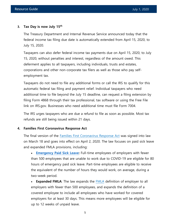#### **3. Tax Day is now July 15th**

The Treasury Department and Internal Revenue Service announced today that the federal income tax filing due date is automatically extended from April 15, 2020, to July 15, 2020.

Taxpayers can also defer federal income tax payments due on April 15, 2020, to July 15, 2020, without penalties and interest, regardless of the amount owed. This deferment applies to all taxpayers, including individuals, trusts and estates, corporations and other non-corporate tax filers as well as those who pay selfemployment tax.

Taxpayers do not need to file any additional forms or call the IRS to qualify for this automatic federal tax filing and payment relief. Individual taxpayers who need additional time to file beyond the July 15 deadline, can request a filing extension by filing Form 4868 through their tax professional, tax software or using the Free File link on IRS.gov. Businesses who need additional time must file Form 7004.

The IRS urges taxpayers who are due a refund to file as soon as possible. Most tax refunds are still being issued within 21 days.

#### **4. Families First Coronavirus Response Act**

The final version of the [Families First Coronavirus Response Act](https://www.congress.gov/bill/116th-congress/house-bill/6201) was signed into law on March 18 and goes into effect on April 2, 2020. The law focuses on paid sick leave and expanded FMLA provisions, including:

 **[Emergency Paid Sick Leave:](https://www.dol.gov/agencies/whd/pandemic/ffcra-employer-paid-leave)** Full-time employees of employers with fewer than 500 employees that are unable to work due to COVID-19 are eligible for 80 hours of emergency paid sick leave. Part-time employees are eligible to receive the equivalent of the number of hours they would work, on average, during a two-week period.

**Expanded [FMLA](https://joinhomebase.com/blog/heres-what-you-need-to-know-about-the-fmla/)**: The law expands the FMLA definition of employer to all employers with fewer than 500 employees, and expands the definition of a covered employee to include all employees who have worked for covered employers for at least 30 days. This means more employees will be eligible for up to 12 weeks of unpaid leave.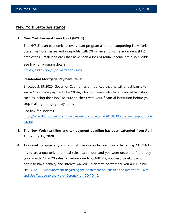# **New York State Assistance**

#### **1. New York Forward Loan Fund (NYFLF)**

The NYFLF is an economic recovery loan program aimed at supporting New York State small businesses and nonprofits with 20 or fewer full-time equivalent (FTE) employees. Small landlords that have seen a loss of rental income are also eligible.

See link for program details: <https://esd.ny.gov/nyforwardloans-info>

#### **2. Residential Mortgage Payment Relief**

Effective 3/19/2020, Governor Cuomo has announced that he will direct banks to waive "mortgage payments for 90 days for borrowers who face financial hardship such as losing their job." Be sure to check with your financial institution before you stop making mortgage payments.

See link for updates:

[https://www.dfs.ny.gov/industry\\_guidance/industry\\_letters/il20200319\\_consumer\\_support\\_coro](https://www.dfs.ny.gov/industry_guidance/industry_letters/il20200319_consumer_support_coronavirus) [navirus](https://www.dfs.ny.gov/industry_guidance/industry_letters/il20200319_consumer_support_coronavirus)

**3. The New York tax filing and tax payment deadline has been extended from April 15 to July 15, 2020.**

#### **4. Tax relief for quarterly and annual filers sales tax vendors affected by COVID-19**

If you are a quarterly or annual sales tax vendor, and you were unable to file or pay your March 20, 2020 sales tax return due to COVID-19, you may be eligible to apply to have penalty and interest waived. To determine whether you are eligible, see N-20-1 - [Announcement Regarding the Abatement of Penalties and Interest for Sales](https://www.tax.ny.gov/pdf/notices/n20-1.pdf) [and Use Tax due to the Novel Coronavirus, COVID-19](https://www.tax.ny.gov/pdf/notices/n20-1.pdf).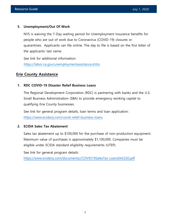#### **5. Unemployment/Out Of Work**

NYS is waiving the 7-Day waiting period for Unemployment Insurance benefits for people who are out of work due to Coronavirus (COVID-19) closures or quarantines. Applicants can file online. The day to file is based on the first letter of the applicants' last name.

See link for additional information: <https://labor.ny.gov/unemploymentassistance.shtm>

# **Erie County Assistance**

#### **1. RDC COVID-19 Disaster Relief Business Loans**

The Regional Development Corporation (RDC) is partnering with banks and the U.S. Small Business Administration (SBA) to provide emergency working capital to qualifying Erie County businesses.

See link for general program details, loan terms and loan application: <https://www.ecidany.com/covid-relief-business-loans>

#### **2. ECIDA Sales Tax Abatement**

Sales tax abatement up to \$100,000 for the purchase of non-production equipment. Maximum value of purchases is approximately \$1,100,000. Companies must be eligible under ECIDA standard eligibility requirements (UTEP).

See link for general program details:

[https://www.ecidany.com/documents//COVID19SalesTax-Loans042320.pdf](https://www.ecidany.com/documents/COVID19SalesTax-Loans042320.pdf)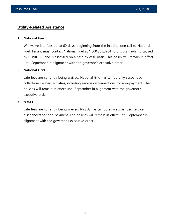# **Utility-Related Assistance**

#### **1. National Fuel**

Will waive late fees up to 60 days, beginning from the initial phone call to National Fuel. Tenant must contact National Fuel at 1.800.365.3234 to discuss hardship caused by COVID-19 and is assessed on a case by case basis. This policy will remain in effect until September in alignment with the governor's executive order.

#### **2. National Grid**

Late fees are currently being waived. National Grid has temporarily suspended collections-related activities, including service disconnections for non-payment. The policies will remain in effect until September in alignment with the governor's executive order.

#### **3. NYSEG**

Late fees are currently being waived. NYSEG has temporarily suspended service disconnects for non-payment. The policies will remain in effect until September in alignment with the governor's executive order.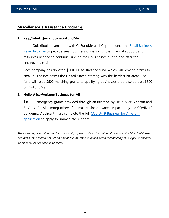# **Miscellaneous Assistance Programs**

#### **1. Yelp/Intuit QuickBooks/GoFundMe**

Intuit QuickBooks teamed up with GoFundMe and Yelp to launch the [Small Business](https://www.gofundme.com/c/small-business-relief-initiative-and-fund-faqs) [Relief Initiative](https://www.gofundme.com/c/small-business-relief-initiative-and-fund-faqs) to provide small business owners with the financial support and resources needed to continue running their businesses during and after the coronavirus crisis.

Each company has donated \$500,000 to start the fund, which will provide grants to small businesses across the United States, starting with the hardest hit areas. The fund will issue \$500 matching grants to qualifying businesses that raise at least \$500 on GoFundMe.

#### **2. Hello Alice/Verizon/Business for All**

\$10,000 emergency grants provided through an initiative by Hello Alice, Verizon and Business for All, among others, for small business owners impacted by the COVID-19 pandemic. Applicant must complete the full [COVID-19 Business for All Grant](http://www.covid19businesscenter.com/) [application](http://www.covid19businesscenter.com/) to apply for immediate support.

The foregoing is provided for informational purposes only and is not legal or financial advice. Individuals and businesses should not act on any of the information herein without contacting their legal or financial advisors for advice specific to them.